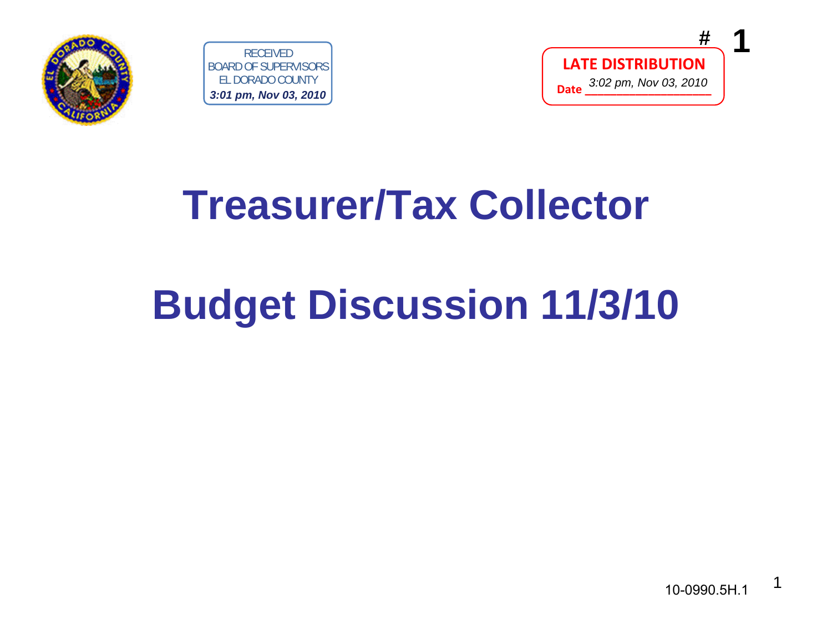





### **Treasurer/Tax Collector**

## **Budget Discussion 11/3/10**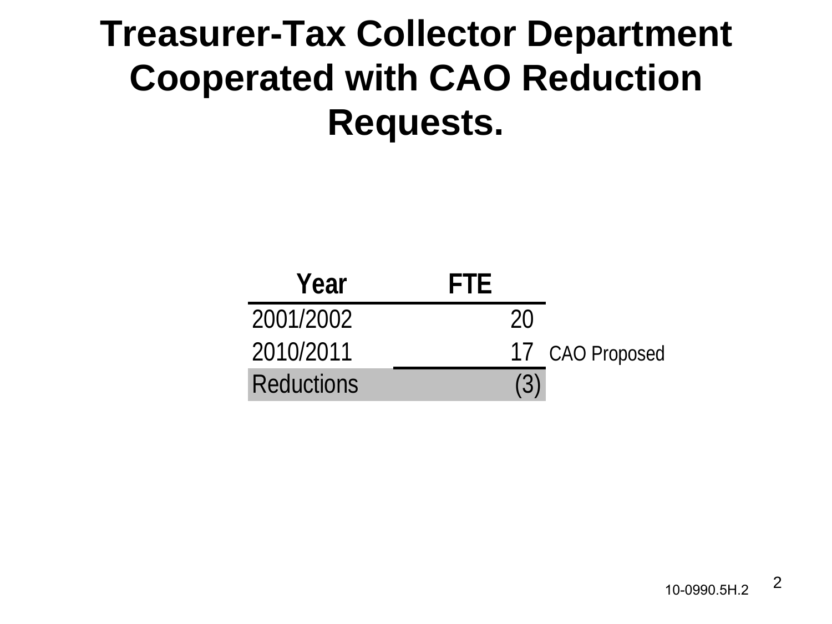#### **Treasurer-Tax Collector Department Cooperated with CAO Reduction Requests.**

| Year              | <b>FTE</b> |                 |
|-------------------|------------|-----------------|
| 2001/2002         | 20         |                 |
| 2010/2011         |            | 17 CAO Proposed |
| <b>Reductions</b> | (3)        |                 |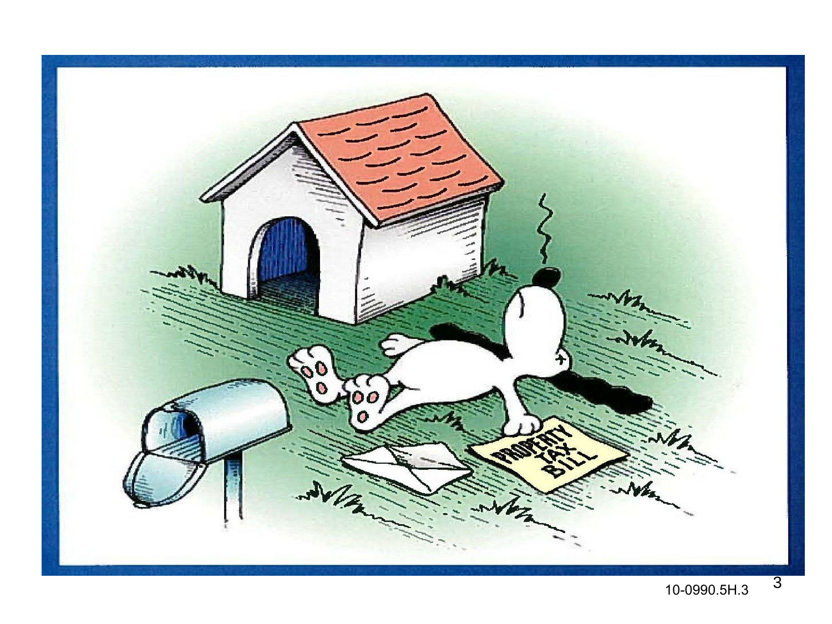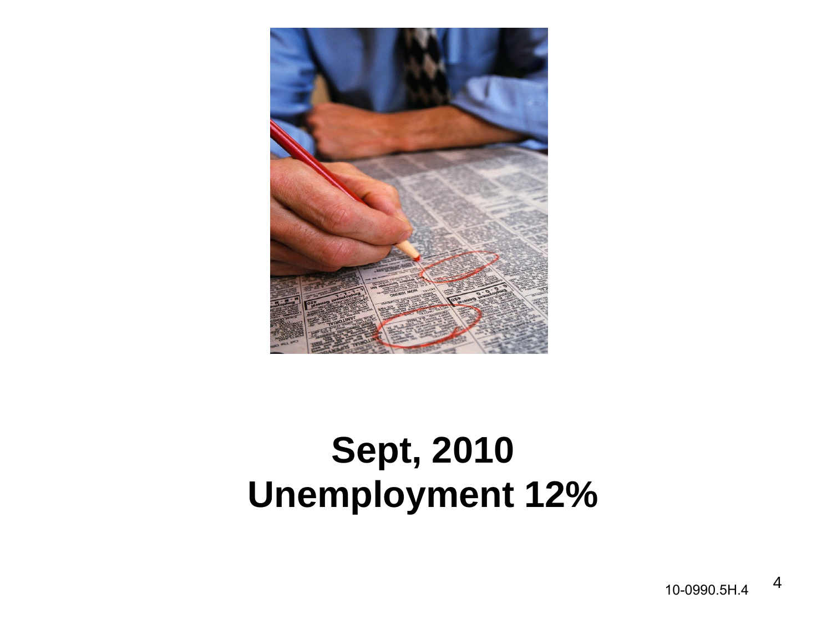

#### **Sept, 2010 Unemployment 12%**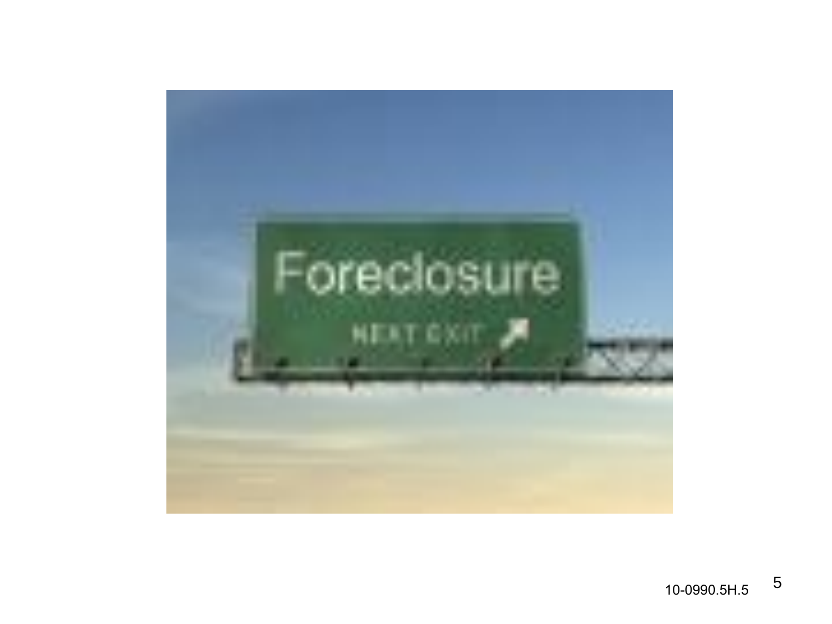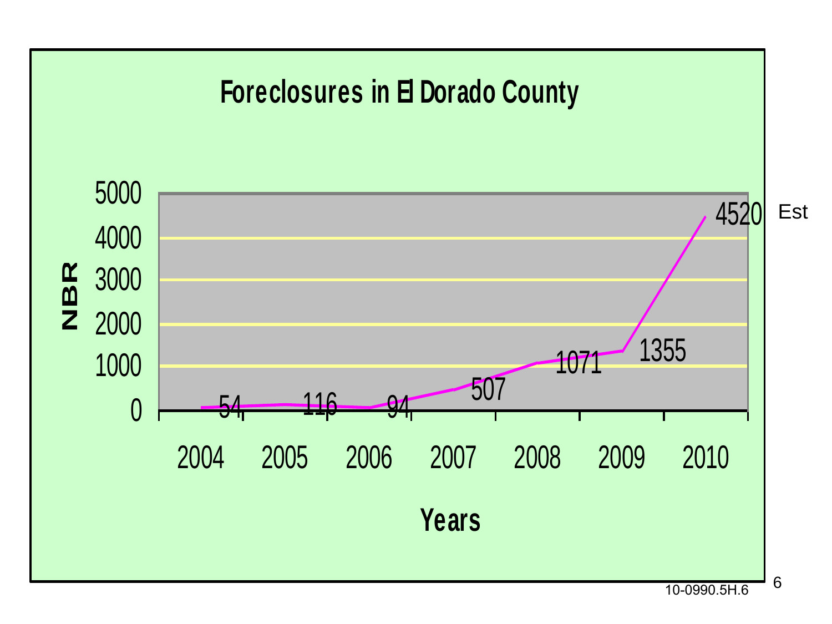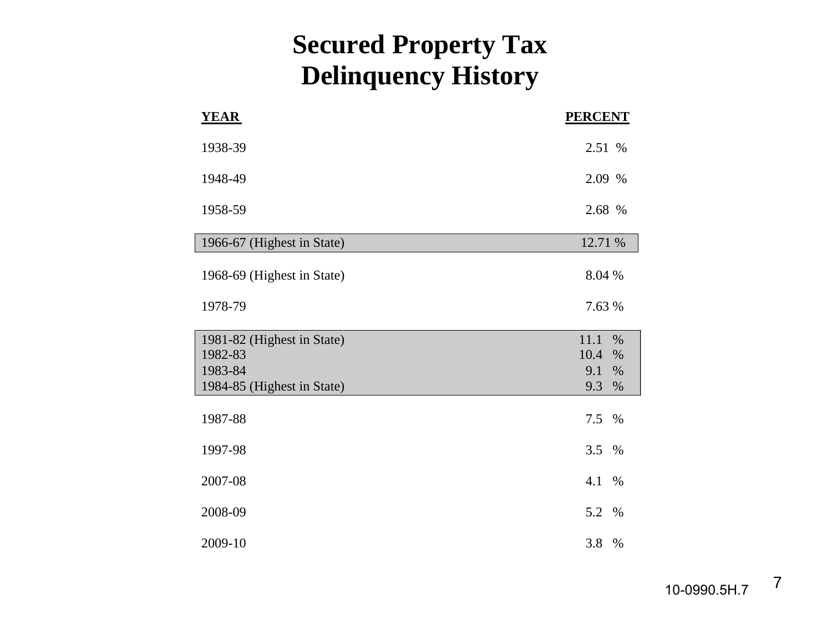#### **Secured Property Tax Delinquency History**

| <b>YEAR</b>                                                                    | <b>PERCENT</b>                                 |
|--------------------------------------------------------------------------------|------------------------------------------------|
| 1938-39                                                                        | 2.51 %                                         |
| 1948-49                                                                        | 2.09 %                                         |
| 1958-59                                                                        | 2.68 %                                         |
| 1966-67 (Highest in State)                                                     | 12.71 %                                        |
| 1968-69 (Highest in State)                                                     | 8.04 %                                         |
| 1978-79                                                                        | 7.63 %                                         |
| 1981-82 (Highest in State)<br>1982-83<br>1983-84<br>1984-85 (Highest in State) | 11.1<br>$\%$<br>10.4 %<br>9.1<br>$\%$<br>9.3 % |
| 1987-88                                                                        | 7.5 %                                          |
| 1997-98                                                                        | 3.5 %                                          |
| $2007 - 08$                                                                    | 4.1 %                                          |
| 2008-09                                                                        | 5.2 %                                          |
| 2009-10                                                                        | 3.8 %                                          |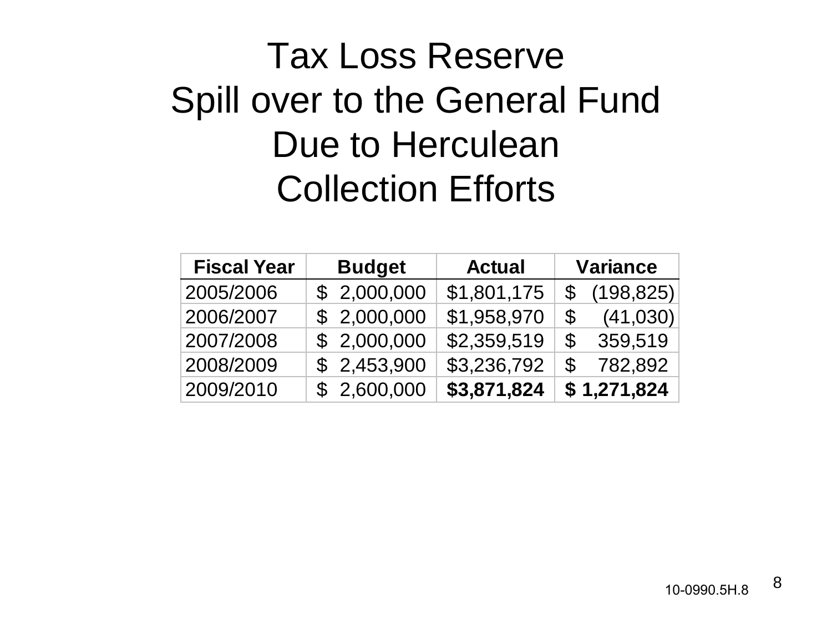#### Tax Loss Reserve Spill over to the General Fund Due to Herculean Collection Efforts

| <b>Fiscal Year</b> | <b>Budget</b> | <b>Actual</b> | <b>Variance</b>           |  |
|--------------------|---------------|---------------|---------------------------|--|
| 2005/2006          | \$2,000,000   | \$1,801,175   | (198, 825)                |  |
| 2006/2007          | \$2,000,000   | \$1,958,970   | (41,030)<br>$\mathcal{C}$ |  |
| 2007/2008          | \$2,000,000   | \$2,359,519   | 359,519<br>$\mathcal{S}$  |  |
| 2008/2009          | \$2,453,900   | \$3,236,792   | 782,892<br>S              |  |
| 2009/2010          | \$2,600,000   | \$3,871,824   | \$1,271,824               |  |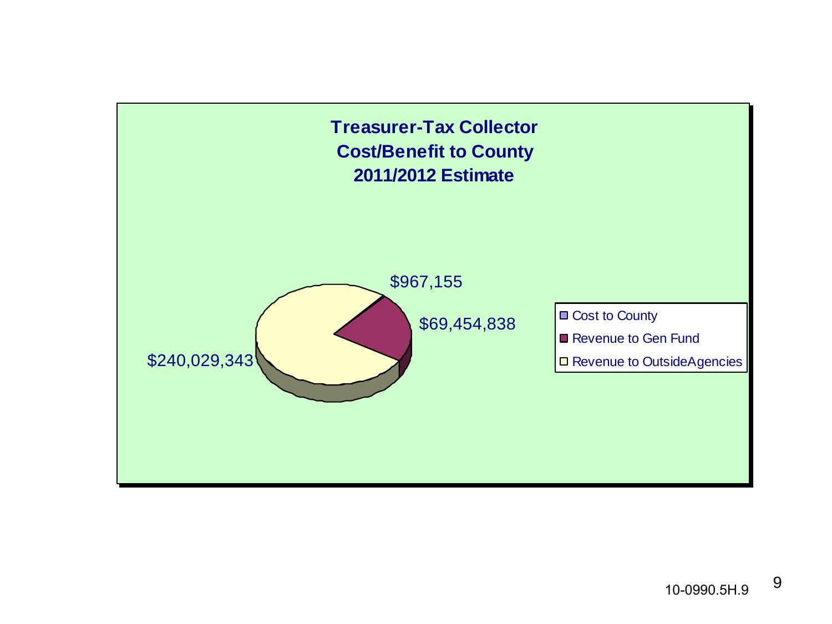